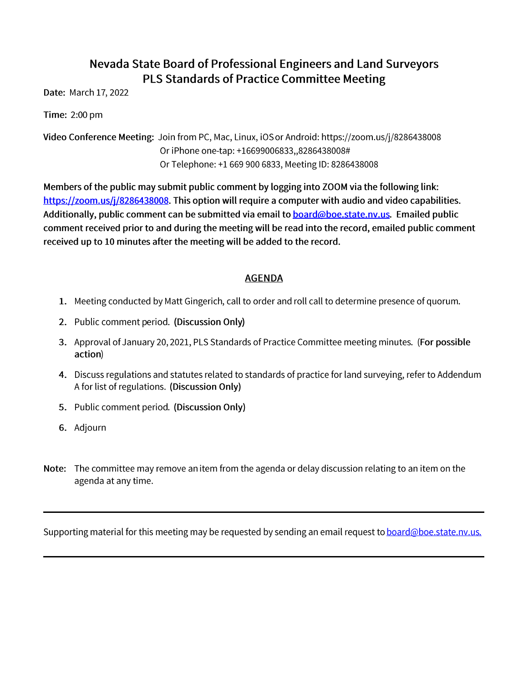## Nevada State Board of Professional Engineers and Land Surveyors PLS Standards of Practice Committee Meeting

Date: March 17, 2022

Time: 2:00 pm

Video Conference Meeting: Join from PC, Mac, Linux, iOS or Android: https://zoom.us/j/8286438008 Or iPhone one-tap: +16699006833,,8286438008# Or Telephone: +1 669 900 6833, Meeting ID: 8286438008

Members of the public may submit public comment by logging into ZOOM via the following link: https://zoom.us/j/8286438008. This option will require a computer with audio and video capabilities. Additionally, public comment can be submitted via email to board@boe.state.nv.us. Emailed public comment received prior to and during the meeting will be read into the record, emailed public comment received up to 10 minutes after the meeting will be added to the record.

## **AGENDA**

- 1. Meeting conducted by Matt Gingerich, call to order and roll call to determine presence of quorum.
- 2. Public comment period. (Discussion Only)
- 3. Approval of January 20, 2021, PLS Standards of Practice Committee meeting minutes. (For possible action)
- 4. Discuss regulations and statutes related to standards of practice for land surveying, refer to Addendum A for list of regulations. (Discussion Only)
- 5. Public comment period. (Discussion Only)
- 6. Adjourn
- Note: The committee may remove an item from the agenda or delay discussion relating to an item on the agenda at any time.

Supporting material for this meeting may be requested by sending an email request to **board@boe.state.nv.us.**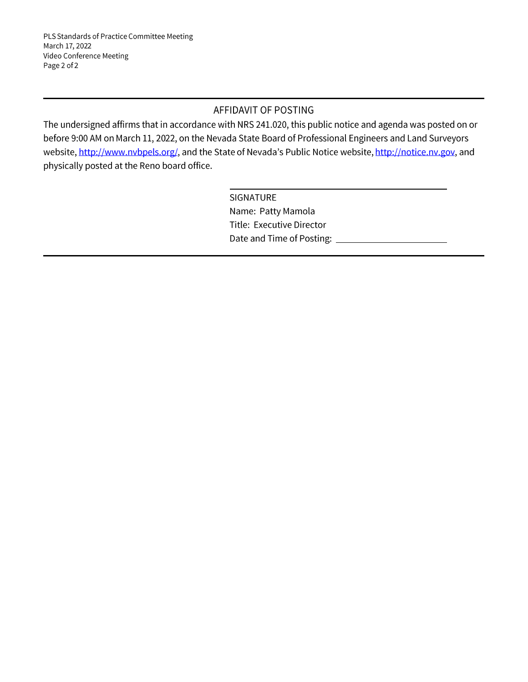## AFFIDAVIT OF POSTING

The undersigned affirms that in accordance with NRS 241.020, this public notice and agenda was posted on or before 9:00 AM on March 11, 2022, on the Nevada State Board of Professional Engineers and Land Surveyors website, http://www.nvbpels.org/, and the State of Nevada's Public Notice website, http://notice.nv.gov, and physically posted at the Reno board office.

> SIGNATURE Name: Patty Mamola Title: Executive Director